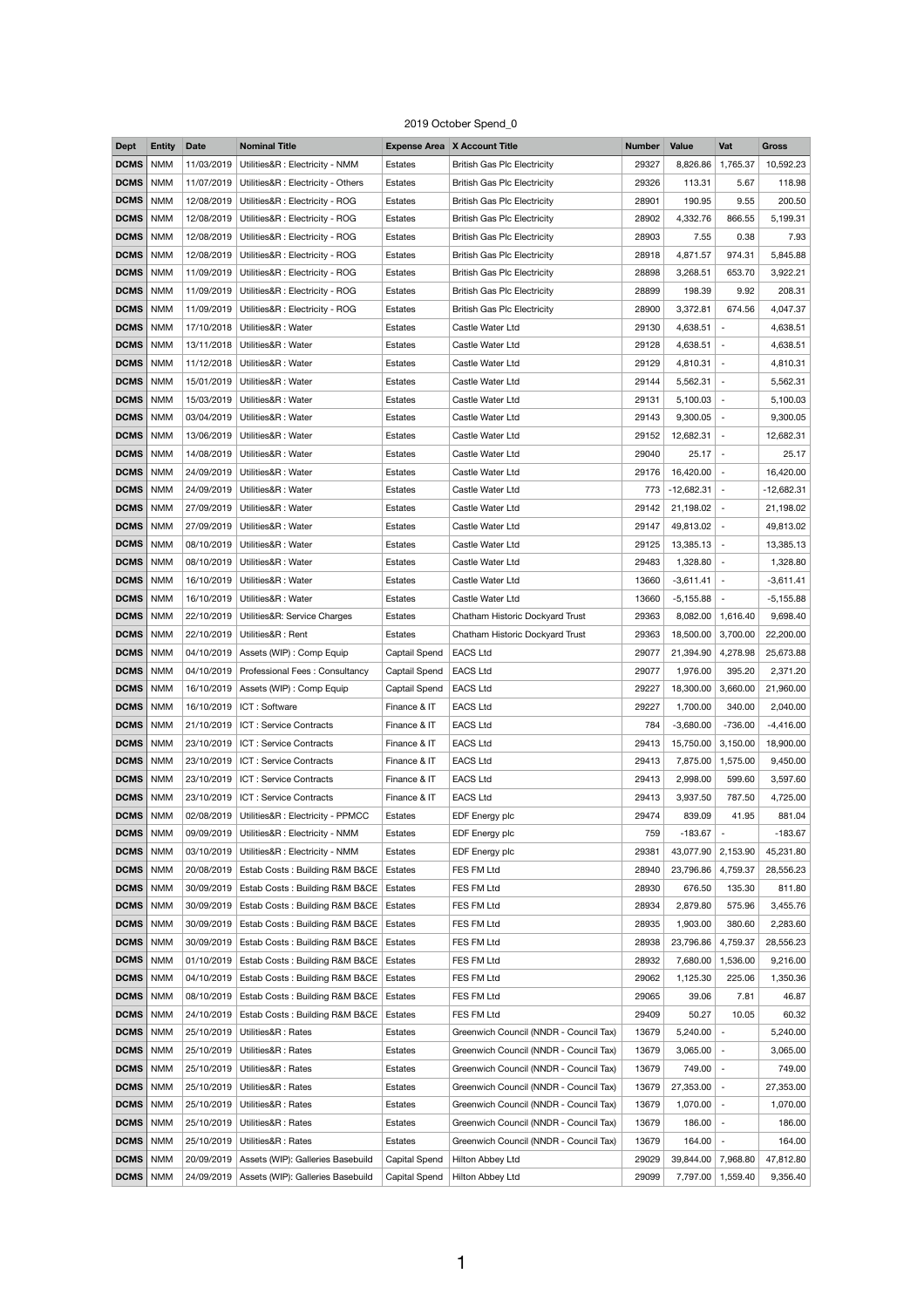## 2019 October Spend\_0

| <b>Dept</b> | <b>Entity</b> | <b>Date</b> | <b>Nominal Title</b>                                  |               | <b>Expense Area X Account Title</b>    | <b>Number</b> | <b>Value</b>       | Vat                      | <b>Gross</b> |
|-------------|---------------|-------------|-------------------------------------------------------|---------------|----------------------------------------|---------------|--------------------|--------------------------|--------------|
| <b>DCMS</b> | <b>NMM</b>    | 11/03/2019  | Utilities&R : Electricity - NMM                       | Estates       | <b>British Gas Plc Electricity</b>     | 29327         | 8,826.86           | 1,765.37                 | 10,592.23    |
| <b>DCMS</b> | <b>NMM</b>    | 11/07/2019  | Utilities&R : Electricity - Others                    | Estates       | <b>British Gas Plc Electricity</b>     | 29326         | 113.31             | 5.67                     | 118.98       |
| <b>DCMS</b> | <b>NMM</b>    | 12/08/2019  | Utilities&R : Electricity - ROG                       | Estates       | <b>British Gas Plc Electricity</b>     | 28901         | 190.95             | 9.55                     | 200.50       |
| <b>DCMS</b> | <b>NMM</b>    | 12/08/2019  | Utilities&R : Electricity - ROG                       | Estates       | <b>British Gas Plc Electricity</b>     | 28902         | 4,332.76           | 866.55                   | 5,199.31     |
| <b>DCMS</b> | <b>NMM</b>    | 12/08/2019  | Utilities&R : Electricity - ROG                       | Estates       | <b>British Gas Plc Electricity</b>     | 28903         | 7.55               | 0.38                     | 7.93         |
| <b>DCMS</b> | <b>NMM</b>    | 12/08/2019  | Utilities&R : Electricity - ROG                       | Estates       | <b>British Gas Plc Electricity</b>     | 28918         | 4,871.57           | 974.31                   | 5,845.88     |
| <b>DCMS</b> | <b>NMM</b>    | 11/09/2019  | Utilities&R : Electricity - ROG                       | Estates       | <b>British Gas Plc Electricity</b>     | 28898         | 3,268.51           | 653.70                   | 3,922.21     |
| <b>DCMS</b> | <b>NMM</b>    | 11/09/2019  | Utilities&R : Electricity - ROG                       | Estates       | <b>British Gas Plc Electricity</b>     | 28899         | 198.39             | 9.92                     | 208.31       |
| <b>DCMS</b> | <b>NMM</b>    | 11/09/2019  | Utilities&R : Electricity - ROG                       | Estates       | <b>British Gas Plc Electricity</b>     | 28900         | 3,372.81           | 674.56                   | 4,047.37     |
| <b>DCMS</b> | <b>NMM</b>    | 17/10/2018  | Utilities&R: Water                                    | Estates       | Castle Water Ltd                       | 29130         | 4,638.51           | $\overline{a}$           | 4,638.51     |
| <b>DCMS</b> | <b>NMM</b>    | 13/11/2018  | Utilities&R: Water                                    | Estates       | Castle Water Ltd                       | 29128         | 4,638.51           | $\overline{\phantom{a}}$ | 4,638.51     |
| <b>DCMS</b> | <b>NMM</b>    | 11/12/2018  | Utilities&R: Water                                    | Estates       | Castle Water Ltd                       | 29129         | 4,810.31           | $\overline{\phantom{a}}$ | 4,810.31     |
| <b>DCMS</b> | <b>NMM</b>    | 15/01/2019  | Utilities&R: Water                                    | Estates       | Castle Water Ltd                       | 29144         | 5,562.31           | $\overline{\phantom{a}}$ | 5,562.31     |
| <b>DCMS</b> | <b>NMM</b>    | 15/03/2019  | Utilities&R: Water                                    | Estates       | Castle Water Ltd                       | 29131         | 5,100.03           | $\overline{\phantom{a}}$ | 5,100.03     |
| <b>DCMS</b> | <b>NMM</b>    | 03/04/2019  | Utilities&R: Water                                    | Estates       | Castle Water Ltd                       | 29143         | 9,300.05           | $\overline{\phantom{a}}$ | 9,300.05     |
| <b>DCMS</b> | <b>NMM</b>    | 13/06/2019  | Utilities&R: Water                                    | Estates       | Castle Water Ltd                       | 29152         | 12,682.31          | $\overline{\phantom{a}}$ | 12,682.31    |
| <b>DCMS</b> | <b>NMM</b>    | 14/08/2019  | Utilities&R: Water                                    | Estates       | Castle Water Ltd                       | 29040         | 25.17              | $\sim$                   | 25.17        |
| <b>DCMS</b> | <b>NMM</b>    | 24/09/2019  | Utilities&R: Water                                    | Estates       | Castle Water Ltd                       | 29176         | 16,420.00          | $\overline{\phantom{a}}$ | 16,420.00    |
| <b>DCMS</b> | <b>NMM</b>    | 24/09/2019  | Utilities&R: Water                                    | Estates       | Castle Water Ltd                       | 773           | $-12,682.31$ -     |                          | $-12,682.31$ |
| <b>DCMS</b> | <b>NMM</b>    | 27/09/2019  | Utilities&R: Water                                    | Estates       | Castle Water Ltd                       | 29142         | 21,198.02          | $\overline{\phantom{a}}$ | 21,198.02    |
| <b>DCMS</b> | <b>NMM</b>    | 27/09/2019  | Utilities&R: Water                                    | Estates       | Castle Water Ltd                       | 29147         | 49,813.02          | $\overline{\phantom{a}}$ | 49,813.02    |
| <b>DCMS</b> | <b>NMM</b>    | 08/10/2019  | Utilities&R: Water                                    | Estates       | Castle Water Ltd                       | 29125         | 13,385.13          | $\overline{\phantom{a}}$ | 13,385.13    |
| <b>DCMS</b> | <b>NMM</b>    | 08/10/2019  | Utilities&R: Water                                    | Estates       | Castle Water Ltd                       | 29483         | 1,328.80           | $\overline{\phantom{a}}$ | 1,328.80     |
| <b>DCMS</b> | <b>NMM</b>    | 16/10/2019  | Utilities&R: Water                                    | Estates       | Castle Water Ltd                       | 13660         | $-3,611.41$        | $\overline{\phantom{a}}$ | $-3,611.41$  |
| <b>DCMS</b> | <b>NMM</b>    | 16/10/2019  | Utilities&R: Water                                    | Estates       | Castle Water Ltd                       | 13660         | $-5,155.88$        | $\overline{\phantom{a}}$ | $-5,155.88$  |
| <b>DCMS</b> | <b>NMM</b>    | 22/10/2019  | Utilities&R: Service Charges                          | Estates       | Chatham Historic Dockyard Trust        | 29363         | 8,082.00           | 1,616.40                 | 9,698.40     |
| <b>DCMS</b> | <b>NMM</b>    | 22/10/2019  | Utilities&R: Rent                                     | Estates       | Chatham Historic Dockyard Trust        | 29363         | 18,500.00          | 3,700.00                 | 22,200.00    |
| <b>DCMS</b> | <b>NMM</b>    | 04/10/2019  | Assets (WIP) : Comp Equip                             | Captail Spend | <b>EACS Ltd</b>                        | 29077         | 21,394.90          | 4,278.98                 | 25,673.88    |
| <b>DCMS</b> | <b>NMM</b>    | 04/10/2019  | Professional Fees: Consultancy                        | Captail Spend | <b>EACS Ltd</b>                        | 29077         | 1,976.00           | 395.20                   | 2,371.20     |
| <b>DCMS</b> | <b>NMM</b>    | 16/10/2019  | Assets (WIP) : Comp Equip                             | Captail Spend | <b>EACS Ltd</b>                        | 29227         | 18,300.00          | 3,660.00                 | 21,960.00    |
| <b>DCMS</b> | <b>NMM</b>    | 16/10/2019  | ICT: Software                                         | Finance & IT  | <b>EACS Ltd</b>                        | 29227         | 1,700.00           | 340.00                   | 2,040.00     |
| <b>DCMS</b> | <b>NMM</b>    | 21/10/2019  | ICT: Service Contracts                                | Finance & IT  | <b>EACS Ltd</b>                        | 784           | $-3,680.00$        | $-736.00$                | $-4,416.00$  |
| <b>DCMS</b> | <b>NMM</b>    | 23/10/2019  | ICT: Service Contracts                                | Finance & IT  | <b>EACS Ltd</b>                        | 29413         | 15,750.00          | 3,150.00                 | 18,900.00    |
| <b>DCMS</b> | <b>NMM</b>    | 23/10/2019  | ICT: Service Contracts                                | Finance & IT  | <b>EACS Ltd</b>                        | 29413         | 7,875.00           | 1,575.00                 | 9,450.00     |
| <b>DCMS</b> | <b>NMM</b>    | 23/10/2019  | ICT: Service Contracts                                | Finance & IT  | <b>EACS Ltd</b>                        | 29413         | 2,998.00           | 599.60                   | 3,597.60     |
| <b>DCMS</b> | <b>NMM</b>    | 23/10/2019  | ICT: Service Contracts                                | Finance & IT  | <b>EACS Ltd</b>                        | 29413         | 3,937.50           | 787.50                   | 4,725.00     |
| <b>DCMS</b> | <b>NMM</b>    | 02/08/2019  | Utilities&R : Electricity - PPMCC                     | Estates       | EDF Energy plc                         | 29474         | 839.09             | 41.95                    | 881.04       |
| <b>DCMS</b> | <b>NMM</b>    | 09/09/2019  | Utilities&R : Electricity - NMM                       | Estates       | EDF Energy plc                         | 759           | $-183.67$          | $\overline{a}$           | $-183.67$    |
| <b>DCMS</b> | <b>NMM</b>    | 03/10/2019  | Utilities&R : Electricity - NMM                       | Estates       | EDF Energy plc                         | 29381         | 43,077.90          | 2,153.90                 | 45,231.80    |
| <b>DCMS</b> | <b>NMM</b>    | 20/08/2019  | Estab Costs: Building R&M B&CE                        | Estates       | FES FM Ltd                             | 28940         | 23,796.86          | 4,759.37                 | 28,556.23    |
| <b>DCMS</b> | <b>NMM</b>    | 30/09/2019  | Estab Costs: Building R&M B&CE                        | Estates       | FES FM Ltd                             | 28930         | 676.50             | 135.30                   | 811.80       |
| <b>DCMS</b> | <b>NMM</b>    | 30/09/2019  | Estab Costs: Building R&M B&CE                        | Estates       | FES FM Ltd                             | 28934         | 2,879.80           | 575.96                   | 3,455.76     |
| <b>DCMS</b> | <b>NMM</b>    | 30/09/2019  | Estab Costs: Building R&M B&CE                        | Estates       | FES FM Ltd                             | 28935         | 1,903.00           | 380.60                   | 2,283.60     |
| DCMS        | <b>NMM</b>    |             | 30/09/2019   Estab Costs: Building R&M B&CE   Estates |               | FES FM Ltd                             | 28938         | 23,796.86 4,759.37 |                          | 28,556.23    |
| <b>DCMS</b> | <b>NMM</b>    | 01/10/2019  | Estab Costs: Building R&M B&CE                        | Estates       | FES FM Ltd                             | 28932         | 7,680.00           | 1,536.00                 | 9,216.00     |
| <b>DCMS</b> | <b>NMM</b>    | 04/10/2019  | Estab Costs: Building R&M B&CE                        | Estates       | FES FM Ltd                             | 29062         | 1,125.30           | 225.06                   | 1,350.36     |
| <b>DCMS</b> | <b>NMM</b>    | 08/10/2019  | Estab Costs: Building R&M B&CE                        | Estates       | FES FM Ltd                             | 29065         | 39.06              | 7.81                     | 46.87        |
| <b>DCMS</b> | <b>NMM</b>    | 24/10/2019  | Estab Costs: Building R&M B&CE                        | Estates       | FES FM Ltd                             | 29409         | 50.27              | 10.05                    | 60.32        |
| <b>DCMS</b> | <b>NMM</b>    | 25/10/2019  | Utilities&R: Rates                                    | Estates       | Greenwich Council (NNDR - Council Tax) | 13679         | 5,240.00           | $\overline{\phantom{a}}$ | 5,240.00     |
| <b>DCMS</b> | <b>NMM</b>    | 25/10/2019  | Utilities&R: Rates                                    | Estates       | Greenwich Council (NNDR - Council Tax) | 13679         | 3,065.00           | $\blacksquare$           | 3,065.00     |
| <b>DCMS</b> | <b>NMM</b>    | 25/10/2019  | Utilities&R: Rates                                    | Estates       | Greenwich Council (NNDR - Council Tax) | 13679         | 749.00             | $\sim$                   | 749.00       |
| <b>DCMS</b> | <b>NMM</b>    | 25/10/2019  | Utilities&R: Rates                                    | Estates       | Greenwich Council (NNDR - Council Tax) | 13679         | 27,353.00          | $\overline{\phantom{a}}$ | 27,353.00    |
| <b>DCMS</b> | <b>NMM</b>    | 25/10/2019  | Utilities&R: Rates                                    | Estates       | Greenwich Council (NNDR - Council Tax) | 13679         | $1,070.00$ -       |                          | 1,070.00     |
| <b>DCMS</b> | <b>NMM</b>    | 25/10/2019  | Utilities&R: Rates                                    | Estates       | Greenwich Council (NNDR - Council Tax) | 13679         | $186.00$ -         |                          | 186.00       |
| <b>DCMS</b> | <b>NMM</b>    | 25/10/2019  | Utilities&R: Rates                                    | Estates       | Greenwich Council (NNDR - Council Tax) | 13679         | 164.00             | $\overline{\phantom{a}}$ | 164.00       |
| <b>DCMS</b> | <b>NMM</b>    | 20/09/2019  | Assets (WIP): Galleries Basebuild                     | Capital Spend | Hilton Abbey Ltd                       | 29029         | 39,844.00          | 7,968.80                 | 47,812.80    |
| DCMS        | <b>NMM</b>    | 24/09/2019  | Assets (WIP): Galleries Basebuild                     | Capital Spend | Hilton Abbey Ltd                       | 29099         |                    | 7,797.00   1,559.40      | 9,356.40     |